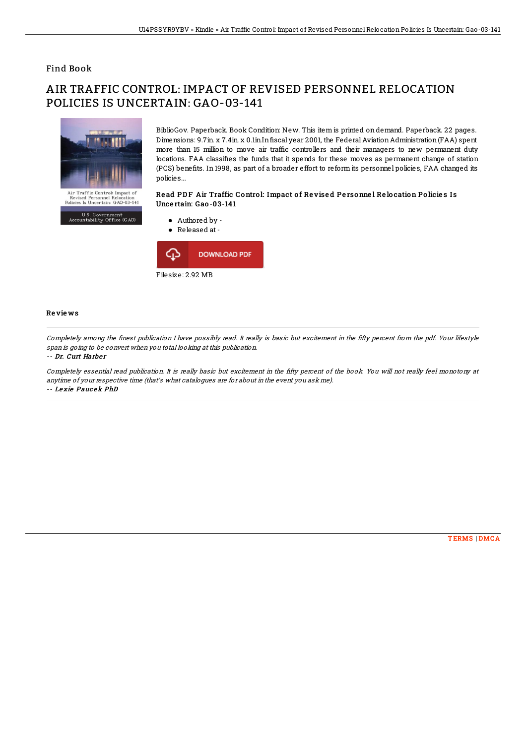## Find Book

# AIR TRAFFIC CONTROL: IMPACT OF REVISED PERSONNEL RELOCATION POLICIES IS UNCERTAIN: GAO-03-141



U.S. Government<br>untability Office (GAO)

BiblioGov. Paperback. Book Condition: New. This item is printed on demand. Paperback. 22 pages. Dimensions: 9.7in. x 7.4in. x 0.1in.In fiscal year 2001, the Federal Aviation Administration (FAA) spent more than 15 million to move air traffic controllers and their managers to new permanent duty locations. FAA classifies the funds that it spends for these moves as permanent change of station (PCS) benefits. In 1998, as part of a broader effort to reform its personnel policies, FAA changed its policies...

### Read PDF Air Traffic Control: Impact of Revised Personnel Relocation Policies Is Unce rtain: Gao -03-141



#### Re vie ws

Completely among the 1nest publication I have possibly read. It really is basic but excitement in the 1fty percent from the pdf. Your lifestyle span is going to be convert when you total looking at this publication.

#### -- Dr. Curt Harber

 $A_{CCD}$ 

Completely essential read publication. It is really basic but excitement in the 1fty percent of the book. You will not really feel monotony at anytime of your respective time (that's what catalogues are for about in the event you ask me). -- Le xie Pauc ek PhD